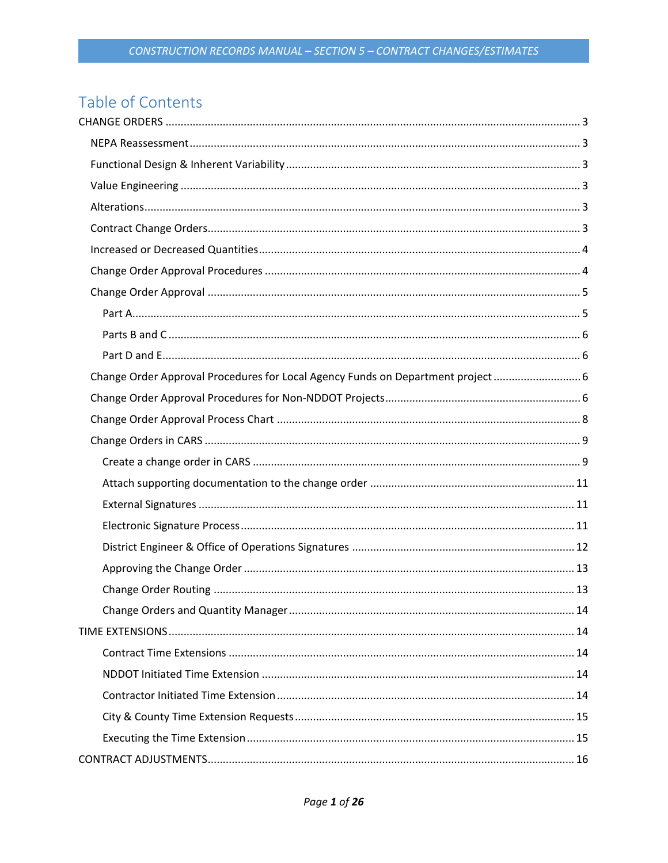# Table of Contents

| Change Order Approval Procedures for Local Agency Funds on Department project 6 |  |
|---------------------------------------------------------------------------------|--|
|                                                                                 |  |
|                                                                                 |  |
|                                                                                 |  |
|                                                                                 |  |
|                                                                                 |  |
|                                                                                 |  |
|                                                                                 |  |
|                                                                                 |  |
|                                                                                 |  |
|                                                                                 |  |
|                                                                                 |  |
|                                                                                 |  |
|                                                                                 |  |
|                                                                                 |  |
|                                                                                 |  |
|                                                                                 |  |
|                                                                                 |  |
|                                                                                 |  |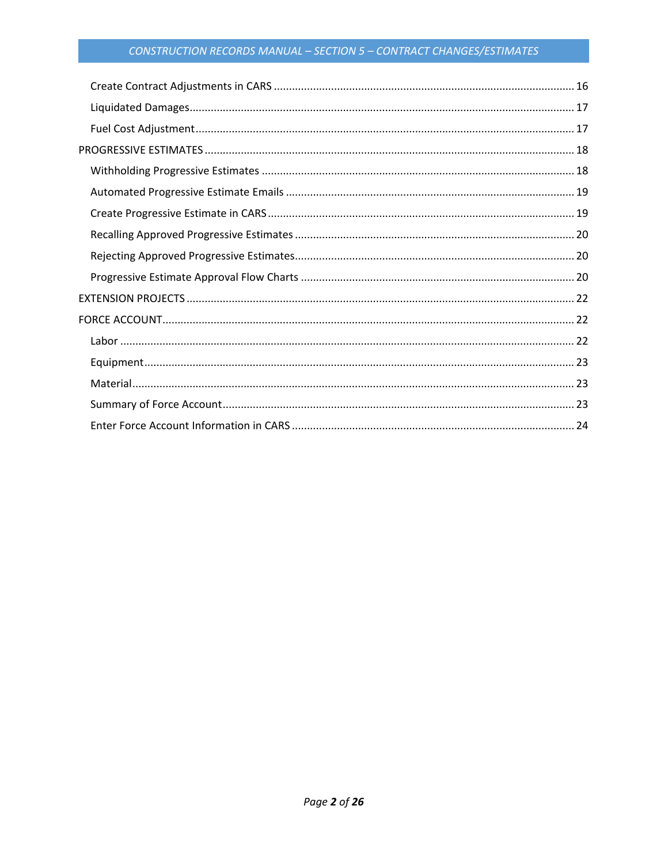# CONSTRUCTION RECORDS MANUAL - SECTION 5 - CONTRACT CHANGES/ESTIMATES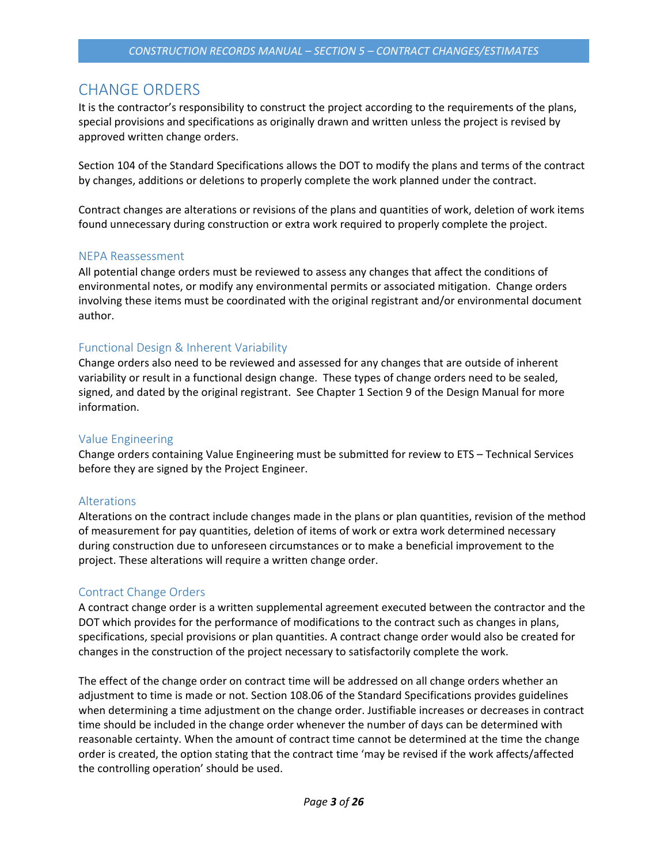# <span id="page-2-0"></span>CHANGE ORDERS

It is the contractor's responsibility to construct the project according to the requirements of the plans, special provisions and specifications as originally drawn and written unless the project is revised by approved written change orders.

Section 104 of the Standard Specifications allows the DOT to modify the plans and terms of the contract by changes, additions or deletions to properly complete the work planned under the contract.

Contract changes are alterations or revisions of the plans and quantities of work, deletion of work items found unnecessary during construction or extra work required to properly complete the project.

#### <span id="page-2-1"></span>NEPA Reassessment

All potential change orders must be reviewed to assess any changes that affect the conditions of environmental notes, or modify any environmental permits or associated mitigation. Change orders involving these items must be coordinated with the original registrant and/or environmental document author.

# <span id="page-2-2"></span>Functional Design & Inherent Variability

Change orders also need to be reviewed and assessed for any changes that are outside of inherent variability or result in a functional design change. These types of change orders need to be sealed, signed, and dated by the original registrant. See Chapter 1 Section 9 of the Design Manual for more information.

# <span id="page-2-3"></span>Value Engineering

Change orders containing Value Engineering must be submitted for review to ETS – Technical Services before they are signed by the Project Engineer.

# <span id="page-2-4"></span>Alterations

Alterations on the contract include changes made in the plans or plan quantities, revision of the method of measurement for pay quantities, deletion of items of work or extra work determined necessary during construction due to unforeseen circumstances or to make a beneficial improvement to the project. These alterations will require a written change order.

# <span id="page-2-5"></span>Contract Change Orders

A contract change order is a written supplemental agreement executed between the contractor and the DOT which provides for the performance of modifications to the contract such as changes in plans, specifications, special provisions or plan quantities. A contract change order would also be created for changes in the construction of the project necessary to satisfactorily complete the work.

The effect of the change order on contract time will be addressed on all change orders whether an adjustment to time is made or not. Section 108.06 of the Standard Specifications provides guidelines when determining a time adjustment on the change order. Justifiable increases or decreases in contract time should be included in the change order whenever the number of days can be determined with reasonable certainty. When the amount of contract time cannot be determined at the time the change order is created, the option stating that the contract time 'may be revised if the work affects/affected the controlling operation' should be used.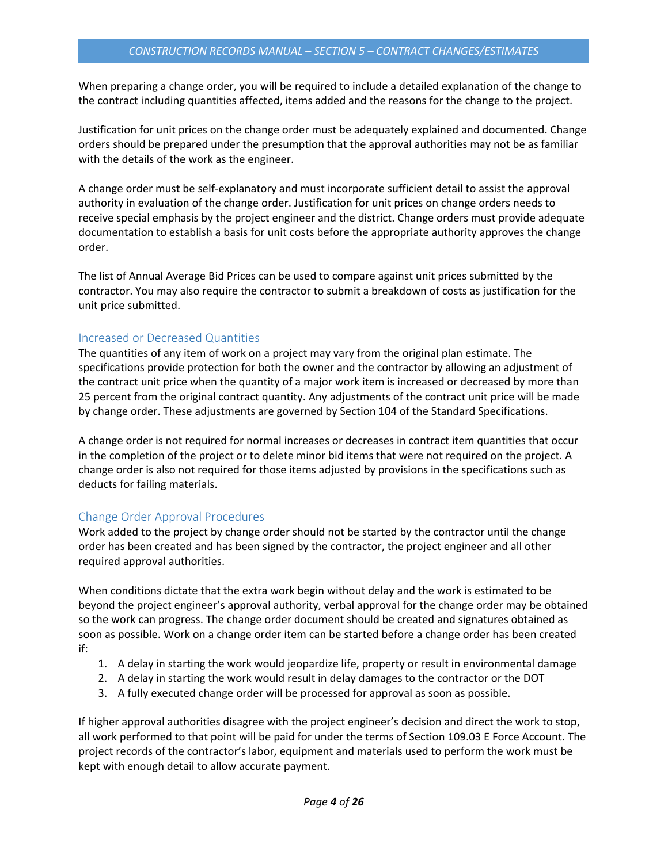When preparing a change order, you will be required to include a detailed explanation of the change to the contract including quantities affected, items added and the reasons for the change to the project.

Justification for unit prices on the change order must be adequately explained and documented. Change orders should be prepared under the presumption that the approval authorities may not be as familiar with the details of the work as the engineer.

A change order must be self-explanatory and must incorporate sufficient detail to assist the approval authority in evaluation of the change order. Justification for unit prices on change orders needs to receive special emphasis by the project engineer and the district. Change orders must provide adequate documentation to establish a basis for unit costs before the appropriate authority approves the change order.

The list of Annual Average Bid Prices can be used to compare against unit prices submitted by the contractor. You may also require the contractor to submit a breakdown of costs as justification for the unit price submitted.

### <span id="page-3-0"></span>Increased or Decreased Quantities

The quantities of any item of work on a project may vary from the original plan estimate. The specifications provide protection for both the owner and the contractor by allowing an adjustment of the contract unit price when the quantity of a major work item is increased or decreased by more than 25 percent from the original contract quantity. Any adjustments of the contract unit price will be made by change order. These adjustments are governed by Section 104 of the Standard Specifications.

A change order is not required for normal increases or decreases in contract item quantities that occur in the completion of the project or to delete minor bid items that were not required on the project. A change order is also not required for those items adjusted by provisions in the specifications such as deducts for failing materials.

# <span id="page-3-1"></span>Change Order Approval Procedures

Work added to the project by change order should not be started by the contractor until the change order has been created and has been signed by the contractor, the project engineer and all other required approval authorities.

When conditions dictate that the extra work begin without delay and the work is estimated to be beyond the project engineer's approval authority, verbal approval for the change order may be obtained so the work can progress. The change order document should be created and signatures obtained as soon as possible. Work on a change order item can be started before a change order has been created if:

- 1. A delay in starting the work would jeopardize life, property or result in environmental damage
- 2. A delay in starting the work would result in delay damages to the contractor or the DOT
- 3. A fully executed change order will be processed for approval as soon as possible.

If higher approval authorities disagree with the project engineer's decision and direct the work to stop, all work performed to that point will be paid for under the terms of Section 109.03 E Force Account. The project records of the contractor's labor, equipment and materials used to perform the work must be kept with enough detail to allow accurate payment.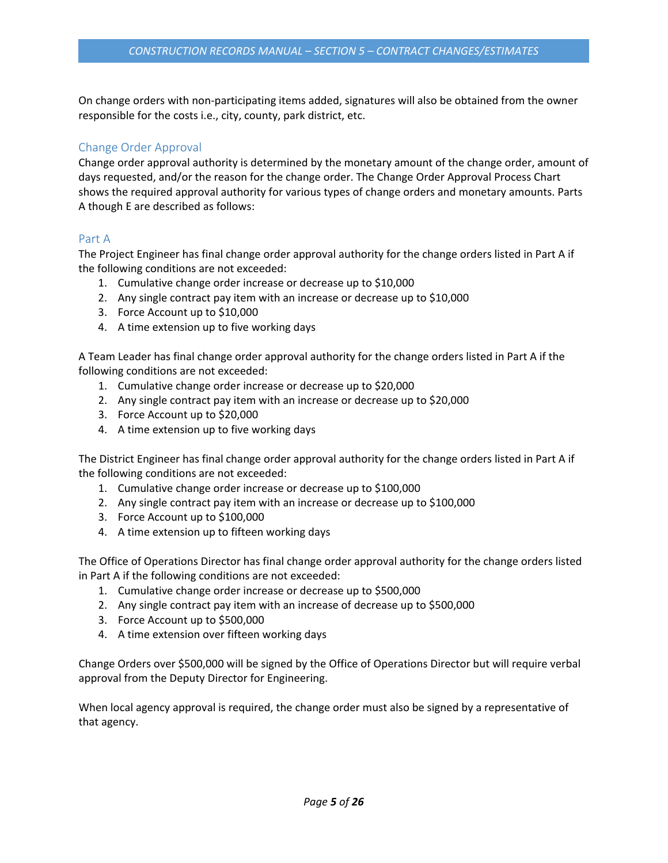On change orders with non-participating items added, signatures will also be obtained from the owner responsible for the costs i.e., city, county, park district, etc.

# <span id="page-4-0"></span>Change Order Approval

Change order approval authority is determined by the monetary amount of the change order, amount of days requested, and/or the reason for the change order. The Change Order Approval Process Chart shows the required approval authority for various types of change orders and monetary amounts. Parts A though E are described as follows:

### <span id="page-4-1"></span>Part A

The Project Engineer has final change order approval authority for the change orders listed in Part A if the following conditions are not exceeded:

- 1. Cumulative change order increase or decrease up to \$10,000
- 2. Any single contract pay item with an increase or decrease up to \$10,000
- 3. Force Account up to \$10,000
- 4. A time extension up to five working days

A Team Leader has final change order approval authority for the change orders listed in Part A if the following conditions are not exceeded:

- 1. Cumulative change order increase or decrease up to \$20,000
- 2. Any single contract pay item with an increase or decrease up to \$20,000
- 3. Force Account up to \$20,000
- 4. A time extension up to five working days

The District Engineer has final change order approval authority for the change orders listed in Part A if the following conditions are not exceeded:

- 1. Cumulative change order increase or decrease up to \$100,000
- 2. Any single contract pay item with an increase or decrease up to \$100,000
- 3. Force Account up to \$100,000
- 4. A time extension up to fifteen working days

The Office of Operations Director has final change order approval authority for the change orders listed in Part A if the following conditions are not exceeded:

- 1. Cumulative change order increase or decrease up to \$500,000
- 2. Any single contract pay item with an increase of decrease up to \$500,000
- 3. Force Account up to \$500,000
- 4. A time extension over fifteen working days

Change Orders over \$500,000 will be signed by the Office of Operations Director but will require verbal approval from the Deputy Director for Engineering.

When local agency approval is required, the change order must also be signed by a representative of that agency.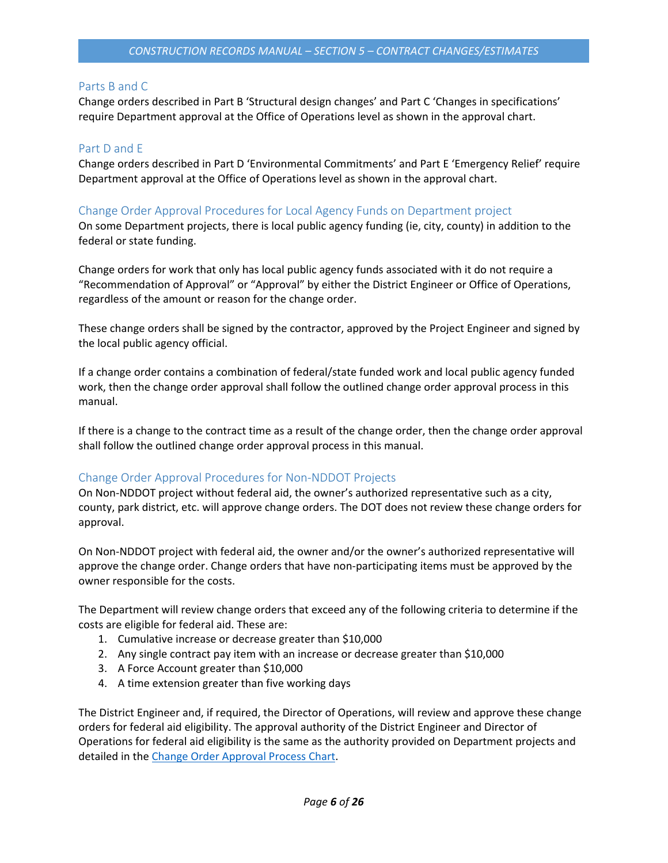### <span id="page-5-0"></span>Parts B and C

Change orders described in Part B 'Structural design changes' and Part C 'Changes in specifications' require Department approval at the Office of Operations level as shown in the approval chart.

#### <span id="page-5-1"></span>Part D and E

Change orders described in Part D 'Environmental Commitments' and Part E 'Emergency Relief' require Department approval at the Office of Operations level as shown in the approval chart.

#### <span id="page-5-2"></span>Change Order Approval Procedures for Local Agency Funds on Department project

On some Department projects, there is local public agency funding (ie, city, county) in addition to the federal or state funding.

Change orders for work that only has local public agency funds associated with it do not require a "Recommendation of Approval" or "Approval" by either the District Engineer or Office of Operations, regardless of the amount or reason for the change order.

These change orders shall be signed by the contractor, approved by the Project Engineer and signed by the local public agency official.

If a change order contains a combination of federal/state funded work and local public agency funded work, then the change order approval shall follow the outlined change order approval process in this manual.

If there is a change to the contract time as a result of the change order, then the change order approval shall follow the outlined change order approval process in this manual.

#### <span id="page-5-3"></span>Change Order Approval Procedures for Non-NDDOT Projects

On Non-NDDOT project without federal aid, the owner's authorized representative such as a city, county, park district, etc. will approve change orders. The DOT does not review these change orders for approval.

On Non-NDDOT project with federal aid, the owner and/or the owner's authorized representative will approve the change order. Change orders that have non-participating items must be approved by the owner responsible for the costs.

The Department will review change orders that exceed any of the following criteria to determine if the costs are eligible for federal aid. These are:

- 1. Cumulative increase or decrease greater than \$10,000
- 2. Any single contract pay item with an increase or decrease greater than \$10,000
- 3. A Force Account greater than \$10,000
- 4. A time extension greater than five working days

The District Engineer and, if required, the Director of Operations, will review and approve these change orders for federal aid eligibility. The approval authority of the District Engineer and Director of Operations for federal aid eligibility is the same as the authority provided on Department projects and detailed in the [Change Order Approval Process Chart.](#page-7-0)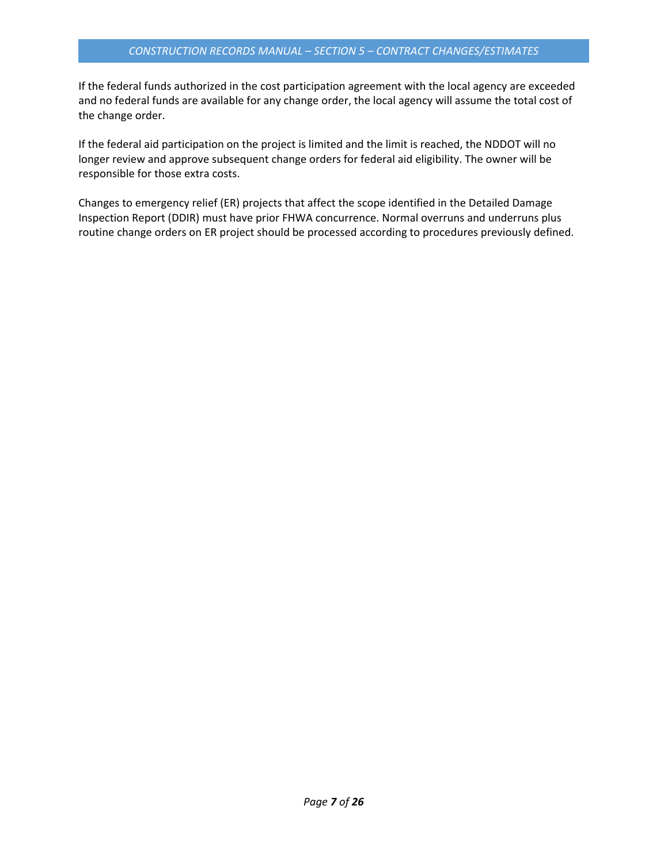If the federal funds authorized in the cost participation agreement with the local agency are exceeded and no federal funds are available for any change order, the local agency will assume the total cost of the change order.

If the federal aid participation on the project is limited and the limit is reached, the NDDOT will no longer review and approve subsequent change orders for federal aid eligibility. The owner will be responsible for those extra costs.

Changes to emergency relief (ER) projects that affect the scope identified in the Detailed Damage Inspection Report (DDIR) must have prior FHWA concurrence. Normal overruns and underruns plus routine change orders on ER project should be processed according to procedures previously defined.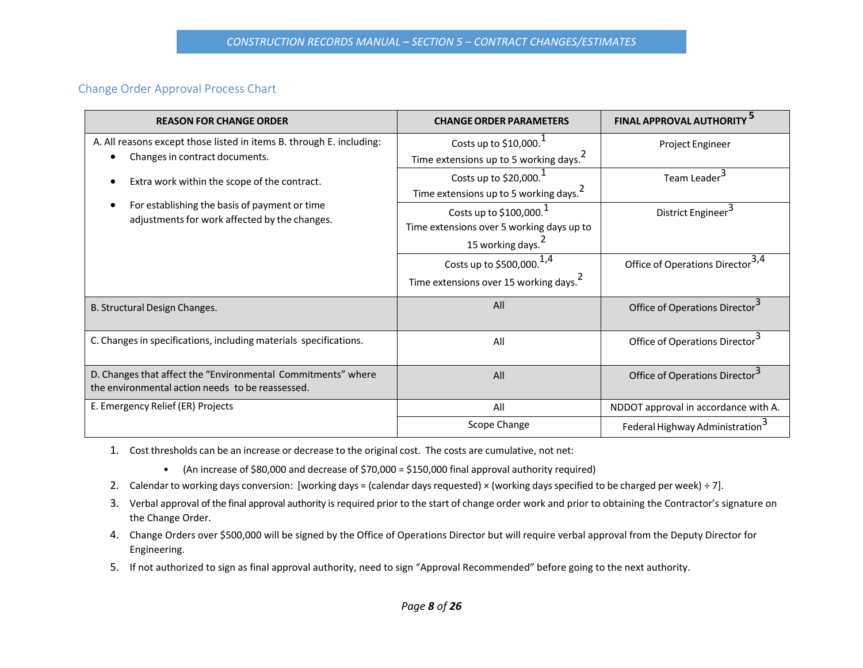#### Change Order Approval Process Chart

<span id="page-7-0"></span>

| <b>REASON FOR CHANGE ORDER</b>                                                                                                                 | <b>CHANGE ORDER PARAMETERS</b>                                                                           | <b>FINAL APPROVAL AUTHORITY</b>            |
|------------------------------------------------------------------------------------------------------------------------------------------------|----------------------------------------------------------------------------------------------------------|--------------------------------------------|
| A. All reasons except those listed in items B. through E. including:<br>Changes in contract documents.                                         | Costs up to $$10,000$ .<br>Time extensions up to 5 working days. <sup>2</sup>                            | Project Engineer                           |
| Extra work within the scope of the contract.<br>For establishing the basis of payment or time<br>adjustments for work affected by the changes. | Costs up to $$20,000.1$<br>Time extensions up to 5 working days. <sup>2</sup>                            | Team Leader <sup>3</sup>                   |
|                                                                                                                                                | Costs up to \$100,000. $1$<br>Time extensions over 5 working days up to<br>15 working days. <sup>2</sup> | District Engineer <sup>3</sup>             |
|                                                                                                                                                | Costs up to \$500,000. <sup>1,4</sup><br>Time extensions over 15 working days. <sup>2</sup>              | <b>Office of Operations Director</b>       |
| B. Structural Design Changes.                                                                                                                  | All                                                                                                      | Office of Operations Director <sup>3</sup> |
| C. Changes in specifications, including materials specifications.                                                                              | All                                                                                                      | Office of Operations Director <sup>3</sup> |
| D. Changes that affect the "Environmental Commitments" where<br>the environmental action needs to be reassessed.                               | All                                                                                                      | Office of Operations Director <sup>3</sup> |
| E. Emergency Relief (ER) Projects                                                                                                              | All                                                                                                      | NDDOT approval in accordance with A.       |
|                                                                                                                                                | Scope Change                                                                                             | Federal Highway Administration             |

- 1. Cost thresholds can be an increase or decrease to the original cost. The costs are cumulative, not net:
	- (An increase of \$80,000 and decrease of \$70,000 = \$150,000 final approval authority required)
- 2. Calendar to working days conversion: [working days = (calendar days requested) × (working days specified to be charged per week) ÷ 7].
- 3. Verbal approval of the final approval authority is required prior to the start of change order work and prior to obtaining the Contractor's signature on the Change Order.
- 4. Change Orders over \$500,000 will be signed by the Office of Operations Director but will require verbal approval from the Deputy Director for Engineering.
- 5. If not authorized to sign as final approval authority, need to sign "Approval Recommended" before going to the next authority.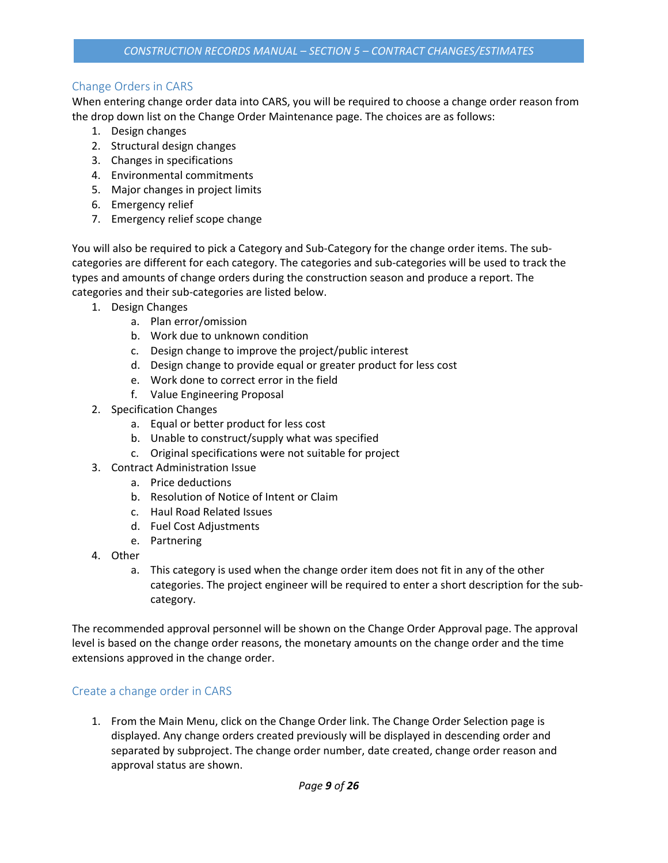# <span id="page-8-0"></span>Change Orders in CARS

When entering change order data into CARS, you will be required to choose a change order reason from the drop down list on the Change Order Maintenance page. The choices are as follows:

- 1. Design changes
- 2. Structural design changes
- 3. Changes in specifications
- 4. Environmental commitments
- 5. Major changes in project limits
- 6. Emergency relief
- 7. Emergency relief scope change

You will also be required to pick a Category and Sub-Category for the change order items. The subcategories are different for each category. The categories and sub-categories will be used to track the types and amounts of change orders during the construction season and produce a report. The categories and their sub-categories are listed below.

- 1. Design Changes
	- a. Plan error/omission
	- b. Work due to unknown condition
	- c. Design change to improve the project/public interest
	- d. Design change to provide equal or greater product for less cost
	- e. Work done to correct error in the field
	- f. Value Engineering Proposal
- 2. Specification Changes
	- a. Equal or better product for less cost
	- b. Unable to construct/supply what was specified
	- c. Original specifications were not suitable for project
- 3. Contract Administration Issue
	- a. Price deductions
	- b. Resolution of Notice of Intent or Claim
	- c. Haul Road Related Issues
	- d. Fuel Cost Adjustments
	- e. Partnering
- 4. Other
	- a. This category is used when the change order item does not fit in any of the other categories. The project engineer will be required to enter a short description for the subcategory.

The recommended approval personnel will be shown on the Change Order Approval page. The approval level is based on the change order reasons, the monetary amounts on the change order and the time extensions approved in the change order.

# <span id="page-8-1"></span>Create a change order in CARS

1. From the Main Menu, click on the Change Order link. The Change Order Selection page is displayed. Any change orders created previously will be displayed in descending order and separated by subproject. The change order number, date created, change order reason and approval status are shown.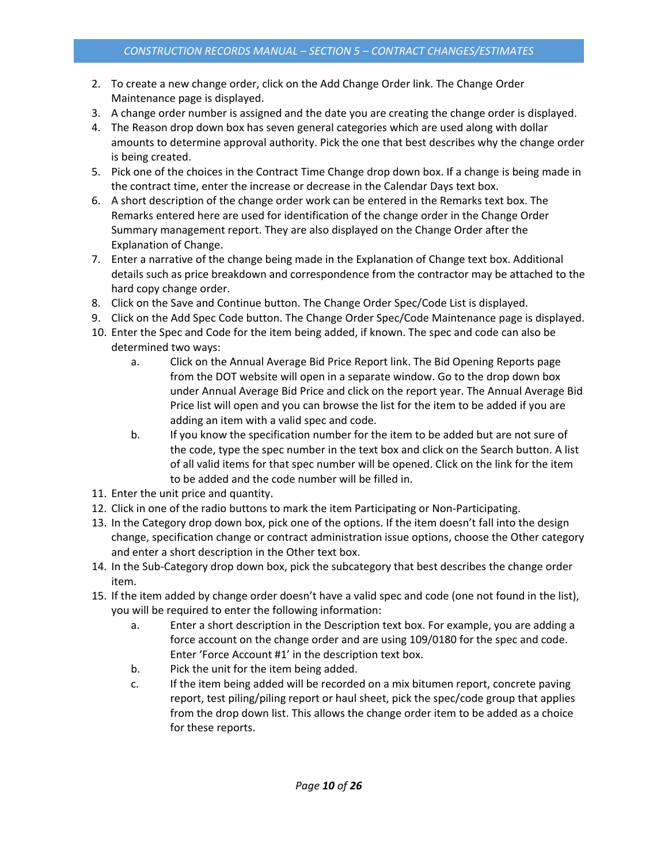- 2. To create a new change order, click on the Add Change Order link. The Change Order Maintenance page is displayed.
- 3. A change order number is assigned and the date you are creating the change order is displayed.
- 4. The Reason drop down box has seven general categories which are used along with dollar amounts to determine approval authority. Pick the one that best describes why the change order is being created.
- 5. Pick one of the choices in the Contract Time Change drop down box. If a change is being made in the contract time, enter the increase or decrease in the Calendar Days text box.
- 6. A short description of the change order work can be entered in the Remarks text box. The Remarks entered here are used for identification of the change order in the Change Order Summary management report. They are also displayed on the Change Order after the Explanation of Change.
- 7. Enter a narrative of the change being made in the Explanation of Change text box. Additional details such as price breakdown and correspondence from the contractor may be attached to the hard copy change order.
- 8. Click on the Save and Continue button. The Change Order Spec/Code List is displayed.
- 9. Click on the Add Spec Code button. The Change Order Spec/Code Maintenance page is displayed.
- 10. Enter the Spec and Code for the item being added, if known. The spec and code can also be determined two ways:
	- a. Click on the Annual Average Bid Price Report link. The Bid Opening Reports page from the DOT website will open in a separate window. Go to the drop down box under Annual Average Bid Price and click on the report year. The Annual Average Bid Price list will open and you can browse the list for the item to be added if you are adding an item with a valid spec and code.
	- b. If you know the specification number for the item to be added but are not sure of the code, type the spec number in the text box and click on the Search button. A list of all valid items for that spec number will be opened. Click on the link for the item to be added and the code number will be filled in.
- 11. Enter the unit price and quantity.
- 12. Click in one of the radio buttons to mark the item Participating or Non-Participating.
- 13. In the Category drop down box, pick one of the options. If the item doesn't fall into the design change, specification change or contract administration issue options, choose the Other category and enter a short description in the Other text box.
- 14. In the Sub-Category drop down box, pick the subcategory that best describes the change order item.
- 15. If the item added by change order doesn't have a valid spec and code (one not found in the list), you will be required to enter the following information:
	- a. Enter a short description in the Description text box. For example, you are adding a force account on the change order and are using 109/0180 for the spec and code. Enter 'Force Account #1' in the description text box.
	- b. Pick the unit for the item being added.
	- c. If the item being added will be recorded on a mix bitumen report, concrete paving report, test piling/piling report or haul sheet, pick the spec/code group that applies from the drop down list. This allows the change order item to be added as a choice for these reports.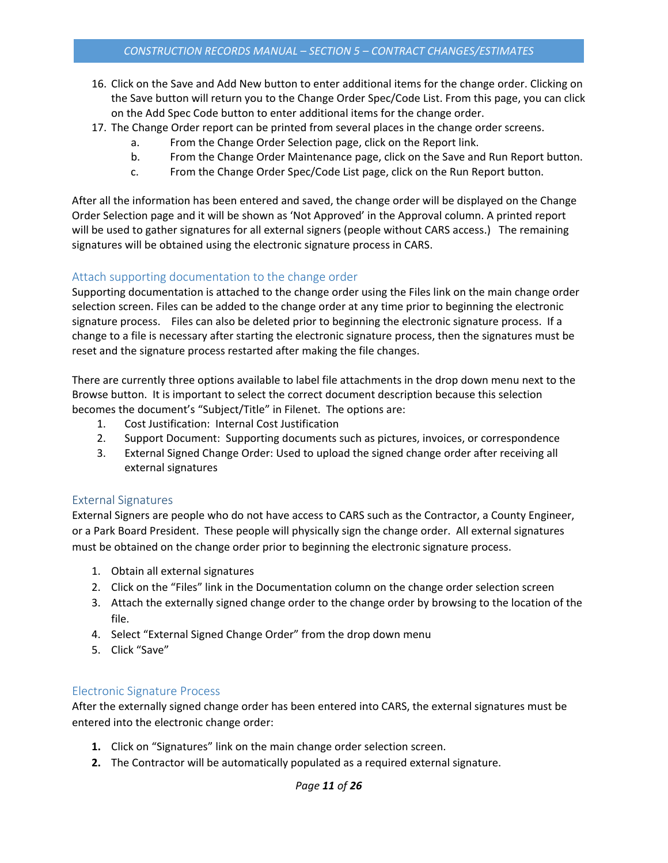- 16. Click on the Save and Add New button to enter additional items for the change order. Clicking on the Save button will return you to the Change Order Spec/Code List. From this page, you can click on the Add Spec Code button to enter additional items for the change order.
- 17. The Change Order report can be printed from several places in the change order screens.
	- a. From the Change Order Selection page, click on the Report link.
	- b. From the Change Order Maintenance page, click on the Save and Run Report button.
	- c. From the Change Order Spec/Code List page, click on the Run Report button.

After all the information has been entered and saved, the change order will be displayed on the Change Order Selection page and it will be shown as 'Not Approved' in the Approval column. A printed report will be used to gather signatures for all external signers (people without CARS access.) The remaining signatures will be obtained using the electronic signature process in CARS.

### <span id="page-10-0"></span>Attach supporting documentation to the change order

Supporting documentation is attached to the change order using the Files link on the main change order selection screen. Files can be added to the change order at any time prior to beginning the electronic signature process. Files can also be deleted prior to beginning the electronic signature process. If a change to a file is necessary after starting the electronic signature process, then the signatures must be reset and the signature process restarted after making the file changes.

There are currently three options available to label file attachments in the drop down menu next to the Browse button. It is important to select the correct document description because this selection becomes the document's "Subject/Title" in Filenet. The options are:

- 1. Cost Justification: Internal Cost Justification
- 2. Support Document: Supporting documents such as pictures, invoices, or correspondence
- 3. External Signed Change Order: Used to upload the signed change order after receiving all external signatures

#### <span id="page-10-1"></span>External Signatures

External Signers are people who do not have access to CARS such as the Contractor, a County Engineer, or a Park Board President. These people will physically sign the change order. All external signatures must be obtained on the change order prior to beginning the electronic signature process.

- 1. Obtain all external signatures
- 2. Click on the "Files" link in the Documentation column on the change order selection screen
- 3. Attach the externally signed change order to the change order by browsing to the location of the file.
- 4. Select "External Signed Change Order" from the drop down menu
- 5. Click "Save"

#### <span id="page-10-2"></span>Electronic Signature Process

After the externally signed change order has been entered into CARS, the external signatures must be entered into the electronic change order:

- **1.** Click on "Signatures" link on the main change order selection screen.
- **2.** The Contractor will be automatically populated as a required external signature.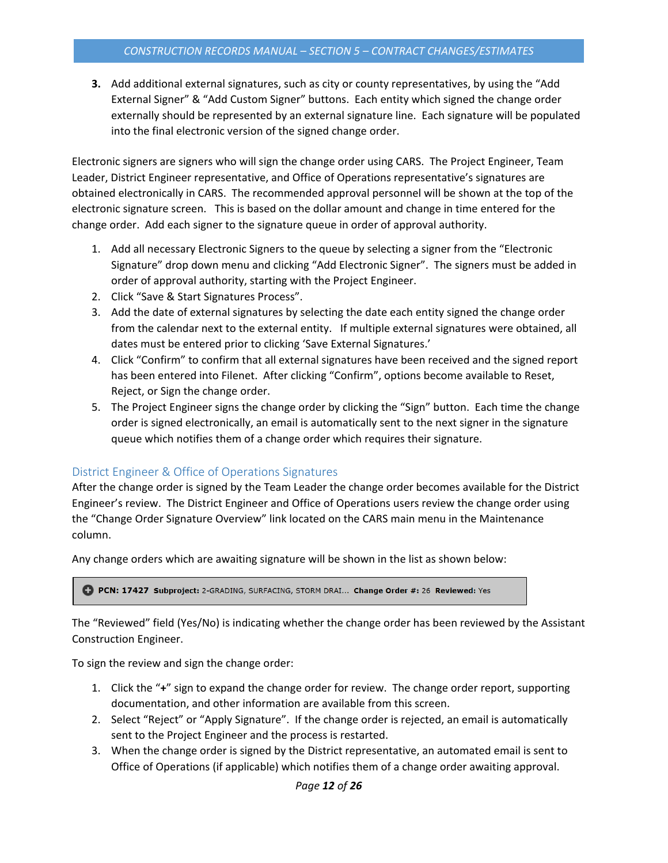**3.** Add additional external signatures, such as city or county representatives, by using the "Add External Signer" & "Add Custom Signer" buttons. Each entity which signed the change order externally should be represented by an external signature line. Each signature will be populated into the final electronic version of the signed change order.

Electronic signers are signers who will sign the change order using CARS. The Project Engineer, Team Leader, District Engineer representative, and Office of Operations representative's signatures are obtained electronically in CARS. The recommended approval personnel will be shown at the top of the electronic signature screen. This is based on the dollar amount and change in time entered for the change order. Add each signer to the signature queue in order of approval authority.

- 1. Add all necessary Electronic Signers to the queue by selecting a signer from the "Electronic Signature" drop down menu and clicking "Add Electronic Signer". The signers must be added in order of approval authority, starting with the Project Engineer.
- 2. Click "Save & Start Signatures Process".
- 3. Add the date of external signatures by selecting the date each entity signed the change order from the calendar next to the external entity. If multiple external signatures were obtained, all dates must be entered prior to clicking 'Save External Signatures.'
- 4. Click "Confirm" to confirm that all external signatures have been received and the signed report has been entered into Filenet. After clicking "Confirm", options become available to Reset, Reject, or Sign the change order.
- 5. The Project Engineer signs the change order by clicking the "Sign" button. Each time the change order is signed electronically, an email is automatically sent to the next signer in the signature queue which notifies them of a change order which requires their signature.

# <span id="page-11-0"></span>District Engineer & Office of Operations Signatures

After the change order is signed by the Team Leader the change order becomes available for the District Engineer's review. The District Engineer and Office of Operations users review the change order using the "Change Order Signature Overview" link located on the CARS main menu in the Maintenance column.

Any change orders which are awaiting signature will be shown in the list as shown below:

PCN: 17427 Subproject: 2-GRADING, SURFACING, STORM DRAI... Change Order #: 26 Reviewed: Yes

The "Reviewed" field (Yes/No) is indicating whether the change order has been reviewed by the Assistant Construction Engineer.

To sign the review and sign the change order:

- 1. Click the "**+**" sign to expand the change order for review. The change order report, supporting documentation, and other information are available from this screen.
- 2. Select "Reject" or "Apply Signature". If the change order is rejected, an email is automatically sent to the Project Engineer and the process is restarted.
- 3. When the change order is signed by the District representative, an automated email is sent to Office of Operations (if applicable) which notifies them of a change order awaiting approval.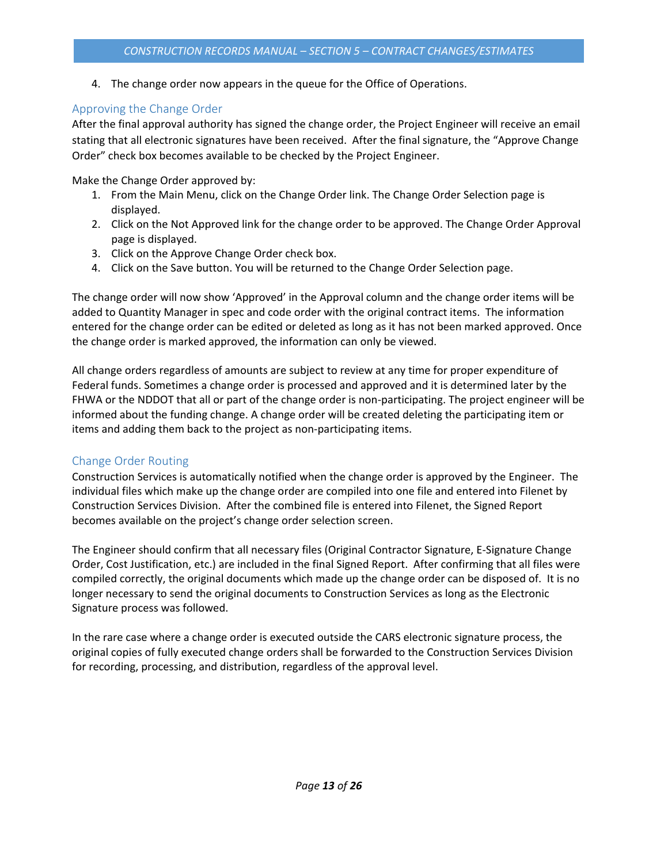4. The change order now appears in the queue for the Office of Operations.

# <span id="page-12-0"></span>Approving the Change Order

After the final approval authority has signed the change order, the Project Engineer will receive an email stating that all electronic signatures have been received. After the final signature, the "Approve Change Order" check box becomes available to be checked by the Project Engineer.

Make the Change Order approved by:

- 1. From the Main Menu, click on the Change Order link. The Change Order Selection page is displayed.
- 2. Click on the Not Approved link for the change order to be approved. The Change Order Approval page is displayed.
- 3. Click on the Approve Change Order check box.
- 4. Click on the Save button. You will be returned to the Change Order Selection page.

The change order will now show 'Approved' in the Approval column and the change order items will be added to Quantity Manager in spec and code order with the original contract items. The information entered for the change order can be edited or deleted as long as it has not been marked approved. Once the change order is marked approved, the information can only be viewed.

All change orders regardless of amounts are subject to review at any time for proper expenditure of Federal funds. Sometimes a change order is processed and approved and it is determined later by the FHWA or the NDDOT that all or part of the change order is non-participating. The project engineer will be informed about the funding change. A change order will be created deleting the participating item or items and adding them back to the project as non-participating items.

# <span id="page-12-1"></span>Change Order Routing

Construction Services is automatically notified when the change order is approved by the Engineer. The individual files which make up the change order are compiled into one file and entered into Filenet by Construction Services Division. After the combined file is entered into Filenet, the Signed Report becomes available on the project's change order selection screen.

The Engineer should confirm that all necessary files (Original Contractor Signature, E-Signature Change Order, Cost Justification, etc.) are included in the final Signed Report. After confirming that all files were compiled correctly, the original documents which made up the change order can be disposed of. It is no longer necessary to send the original documents to Construction Services as long as the Electronic Signature process was followed.

In the rare case where a change order is executed outside the CARS electronic signature process, the original copies of fully executed change orders shall be forwarded to the Construction Services Division for recording, processing, and distribution, regardless of the approval level.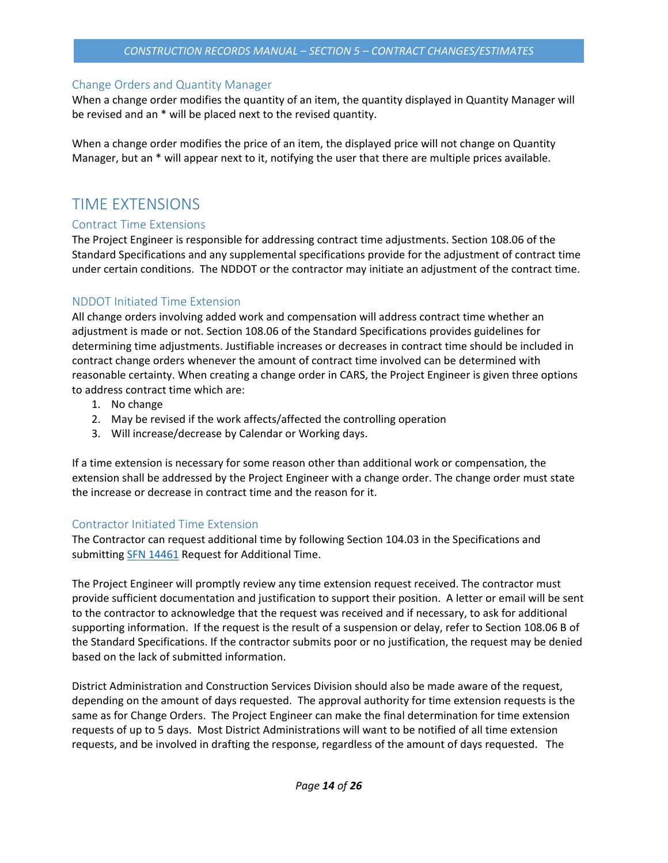#### *CONSTRUCTION RECORDS MANUAL – SECTION 5 – CONTRACT CHANGES/ESTIMATES*

### <span id="page-13-0"></span>Change Orders and Quantity Manager

When a change order modifies the quantity of an item, the quantity displayed in Quantity Manager will be revised and an \* will be placed next to the revised quantity.

When a change order modifies the price of an item, the displayed price will not change on Quantity Manager, but an \* will appear next to it, notifying the user that there are multiple prices available.

# <span id="page-13-1"></span>TIME EXTENSIONS

### <span id="page-13-2"></span>Contract Time Extensions

The Project Engineer is responsible for addressing contract time adjustments. Section 108.06 of the Standard Specifications and any supplemental specifications provide for the adjustment of contract time under certain conditions. The NDDOT or the contractor may initiate an adjustment of the contract time.

# <span id="page-13-3"></span>NDDOT Initiated Time Extension

All change orders involving added work and compensation will address contract time whether an adjustment is made or not. Section 108.06 of the Standard Specifications provides guidelines for determining time adjustments. Justifiable increases or decreases in contract time should be included in contract change orders whenever the amount of contract time involved can be determined with reasonable certainty. When creating a change order in CARS, the Project Engineer is given three options to address contract time which are:

- 1. No change
- 2. May be revised if the work affects/affected the controlling operation
- 3. Will increase/decrease by Calendar or Working days.

If a time extension is necessary for some reason other than additional work or compensation, the extension shall be addressed by the Project Engineer with a change order. The change order must state the increase or decrease in contract time and the reason for it.

# <span id="page-13-4"></span>Contractor Initiated Time Extension

The Contractor can request additional time by following Section 104.03 in the Specifications and submitting **SFN 14461** Request for Additional Time.

The Project Engineer will promptly review any time extension request received. The contractor must provide sufficient documentation and justification to support their position. A letter or email will be sent to the contractor to acknowledge that the request was received and if necessary, to ask for additional supporting information. If the request is the result of a suspension or delay, refer to Section 108.06 B of the Standard Specifications. If the contractor submits poor or no justification, the request may be denied based on the lack of submitted information.

District Administration and Construction Services Division should also be made aware of the request, depending on the amount of days requested. The approval authority for time extension requests is the same as for Change Orders. The Project Engineer can make the final determination for time extension requests of up to 5 days. Most District Administrations will want to be notified of all time extension requests, and be involved in drafting the response, regardless of the amount of days requested. The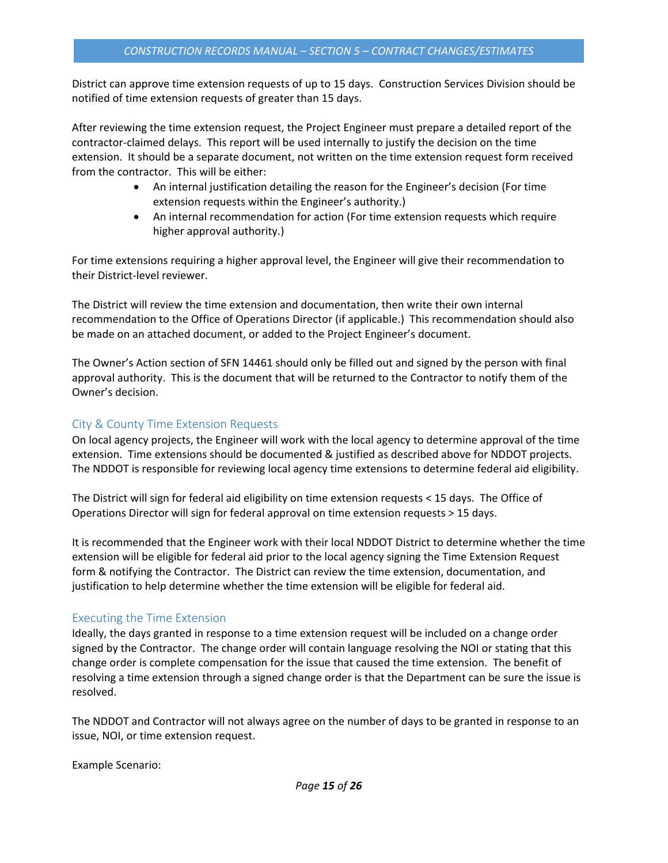District can approve time extension requests of up to 15 days. Construction Services Division should be notified of time extension requests of greater than 15 days.

After reviewing the time extension request, the Project Engineer must prepare a detailed report of the contractor-claimed delays. This report will be used internally to justify the decision on the time extension. It should be a separate document, not written on the time extension request form received from the contractor. This will be either:

- An internal justification detailing the reason for the Engineer's decision (For time extension requests within the Engineer's authority.)
- An internal recommendation for action (For time extension requests which require higher approval authority.)

For time extensions requiring a higher approval level, the Engineer will give their recommendation to their District-level reviewer.

The District will review the time extension and documentation, then write their own internal recommendation to the Office of Operations Director (if applicable.) This recommendation should also be made on an attached document, or added to the Project Engineer's document.

The Owner's Action section of SFN 14461 should only be filled out and signed by the person with final approval authority. This is the document that will be returned to the Contractor to notify them of the Owner's decision.

### <span id="page-14-0"></span>City & County Time Extension Requests

On local agency projects, the Engineer will work with the local agency to determine approval of the time extension. Time extensions should be documented & justified as described above for NDDOT projects. The NDDOT is responsible for reviewing local agency time extensions to determine federal aid eligibility.

The District will sign for federal aid eligibility on time extension requests < 15 days. The Office of Operations Director will sign for federal approval on time extension requests > 15 days.

It is recommended that the Engineer work with their local NDDOT District to determine whether the time extension will be eligible for federal aid prior to the local agency signing the Time Extension Request form & notifying the Contractor. The District can review the time extension, documentation, and justification to help determine whether the time extension will be eligible for federal aid.

#### <span id="page-14-1"></span>Executing the Time Extension

Ideally, the days granted in response to a time extension request will be included on a change order signed by the Contractor. The change order will contain language resolving the NOI or stating that this change order is complete compensation for the issue that caused the time extension. The benefit of resolving a time extension through a signed change order is that the Department can be sure the issue is resolved.

The NDDOT and Contractor will not always agree on the number of days to be granted in response to an issue, NOI, or time extension request.

Example Scenario: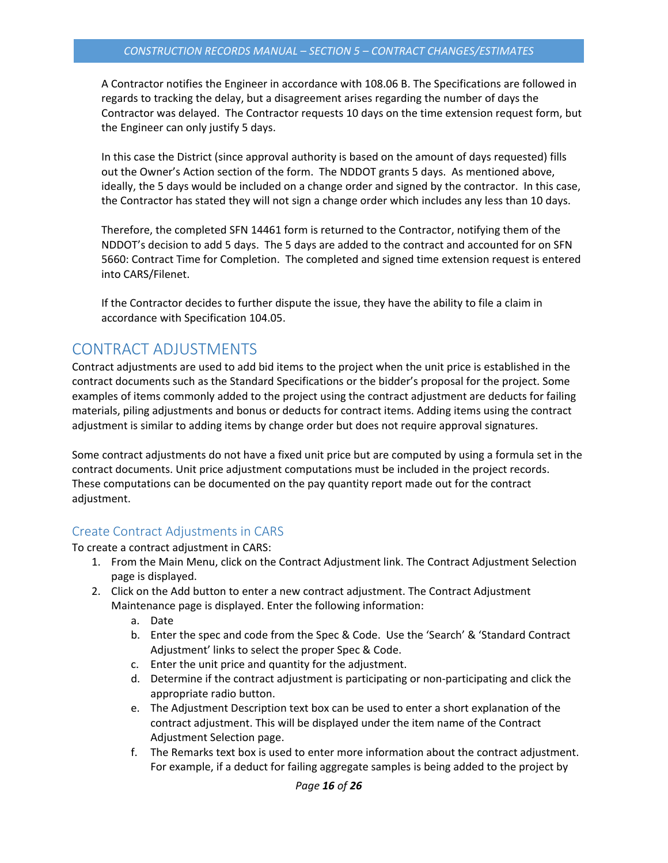A Contractor notifies the Engineer in accordance with 108.06 B. The Specifications are followed in regards to tracking the delay, but a disagreement arises regarding the number of days the Contractor was delayed. The Contractor requests 10 days on the time extension request form, but the Engineer can only justify 5 days.

In this case the District (since approval authority is based on the amount of days requested) fills out the Owner's Action section of the form. The NDDOT grants 5 days. As mentioned above, ideally, the 5 days would be included on a change order and signed by the contractor. In this case, the Contractor has stated they will not sign a change order which includes any less than 10 days.

Therefore, the completed SFN 14461 form is returned to the Contractor, notifying them of the NDDOT's decision to add 5 days. The 5 days are added to the contract and accounted for on SFN 5660: Contract Time for Completion. The completed and signed time extension request is entered into CARS/Filenet.

If the Contractor decides to further dispute the issue, they have the ability to file a claim in accordance with Specification 104.05.

# <span id="page-15-0"></span>CONTRACT ADJUSTMENTS

Contract adjustments are used to add bid items to the project when the unit price is established in the contract documents such as the Standard Specifications or the bidder's proposal for the project. Some examples of items commonly added to the project using the contract adjustment are deducts for failing materials, piling adjustments and bonus or deducts for contract items. Adding items using the contract adjustment is similar to adding items by change order but does not require approval signatures.

Some contract adjustments do not have a fixed unit price but are computed by using a formula set in the contract documents. Unit price adjustment computations must be included in the project records. These computations can be documented on the pay quantity report made out for the contract adjustment.

# <span id="page-15-1"></span>Create Contract Adjustments in CARS

To create a contract adjustment in CARS:

- 1. From the Main Menu, click on the Contract Adjustment link. The Contract Adjustment Selection page is displayed.
- 2. Click on the Add button to enter a new contract adjustment. The Contract Adjustment Maintenance page is displayed. Enter the following information:
	- a. Date
	- b. Enter the spec and code from the Spec & Code. Use the 'Search' & 'Standard Contract Adjustment' links to select the proper Spec & Code.
	- c. Enter the unit price and quantity for the adjustment.
	- d. Determine if the contract adjustment is participating or non-participating and click the appropriate radio button.
	- e. The Adjustment Description text box can be used to enter a short explanation of the contract adjustment. This will be displayed under the item name of the Contract Adjustment Selection page.
	- f. The Remarks text box is used to enter more information about the contract adjustment. For example, if a deduct for failing aggregate samples is being added to the project by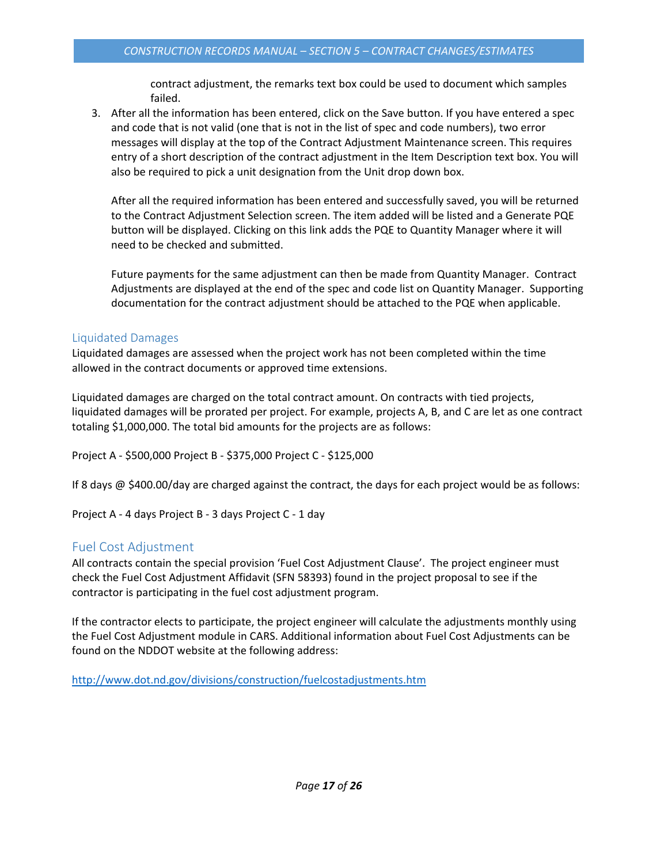contract adjustment, the remarks text box could be used to document which samples failed.

3. After all the information has been entered, click on the Save button. If you have entered a spec and code that is not valid (one that is not in the list of spec and code numbers), two error messages will display at the top of the Contract Adjustment Maintenance screen. This requires entry of a short description of the contract adjustment in the Item Description text box. You will also be required to pick a unit designation from the Unit drop down box.

After all the required information has been entered and successfully saved, you will be returned to the Contract Adjustment Selection screen. The item added will be listed and a Generate PQE button will be displayed. Clicking on this link adds the PQE to Quantity Manager where it will need to be checked and submitted.

Future payments for the same adjustment can then be made from Quantity Manager. Contract Adjustments are displayed at the end of the spec and code list on Quantity Manager. Supporting documentation for the contract adjustment should be attached to the PQE when applicable.

# <span id="page-16-0"></span>Liquidated Damages

Liquidated damages are assessed when the project work has not been completed within the time allowed in the contract documents or approved time extensions.

Liquidated damages are charged on the total contract amount. On contracts with tied projects, liquidated damages will be prorated per project. For example, projects A, B, and C are let as one contract totaling \$1,000,000. The total bid amounts for the projects are as follows:

Project A - \$500,000 Project B - \$375,000 Project C - \$125,000

If 8 days @ \$400.00/day are charged against the contract, the days for each project would be as follows:

Project A - 4 days Project B - 3 days Project C - 1 day

# <span id="page-16-1"></span>Fuel Cost Adjustment

All contracts contain the special provision 'Fuel Cost Adjustment Clause'. The project engineer must check the Fuel Cost Adjustment Affidavit (SFN 58393) found in the project proposal to see if the contractor is participating in the fuel cost adjustment program.

If the contractor elects to participate, the project engineer will calculate the adjustments monthly using the Fuel Cost Adjustment module in CARS. Additional information about Fuel Cost Adjustments can be found on the NDDOT website at the following address:

<http://www.dot.nd.gov/divisions/construction/fuelcostadjustments.htm>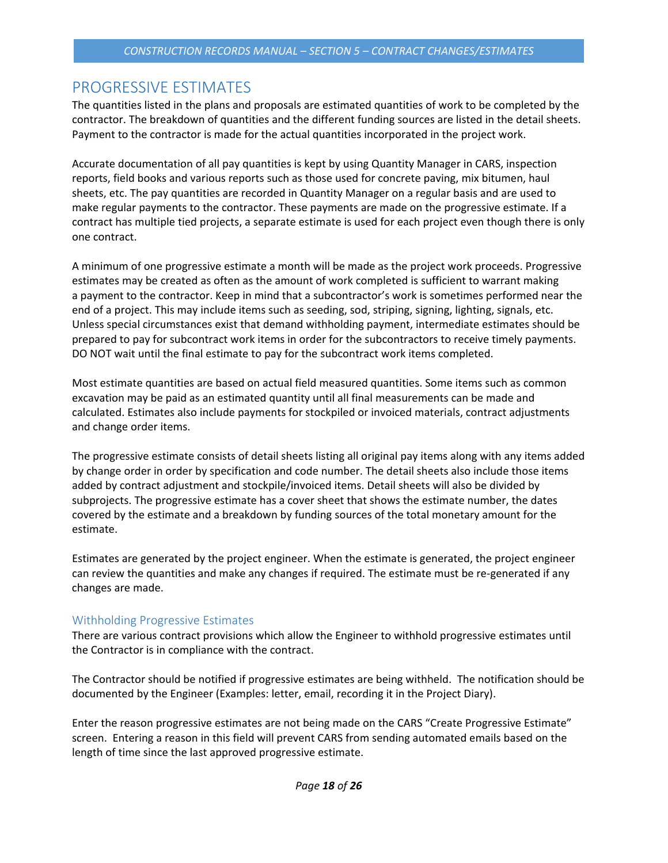# <span id="page-17-0"></span>PROGRESSIVE ESTIMATES

The quantities listed in the plans and proposals are estimated quantities of work to be completed by the contractor. The breakdown of quantities and the different funding sources are listed in the detail sheets. Payment to the contractor is made for the actual quantities incorporated in the project work.

Accurate documentation of all pay quantities is kept by using Quantity Manager in CARS, inspection reports, field books and various reports such as those used for concrete paving, mix bitumen, haul sheets, etc. The pay quantities are recorded in Quantity Manager on a regular basis and are used to make regular payments to the contractor. These payments are made on the progressive estimate. If a contract has multiple tied projects, a separate estimate is used for each project even though there is only one contract.

A minimum of one progressive estimate a month will be made as the project work proceeds. Progressive estimates may be created as often as the amount of work completed is sufficient to warrant making a payment to the contractor. Keep in mind that a subcontractor's work is sometimes performed near the end of a project. This may include items such as seeding, sod, striping, signing, lighting, signals, etc. Unless special circumstances exist that demand withholding payment, intermediate estimates should be prepared to pay for subcontract work items in order for the subcontractors to receive timely payments. DO NOT wait until the final estimate to pay for the subcontract work items completed.

Most estimate quantities are based on actual field measured quantities. Some items such as common excavation may be paid as an estimated quantity until all final measurements can be made and calculated. Estimates also include payments for stockpiled or invoiced materials, contract adjustments and change order items.

The progressive estimate consists of detail sheets listing all original pay items along with any items added by change order in order by specification and code number. The detail sheets also include those items added by contract adjustment and stockpile/invoiced items. Detail sheets will also be divided by subprojects. The progressive estimate has a cover sheet that shows the estimate number, the dates covered by the estimate and a breakdown by funding sources of the total monetary amount for the estimate.

Estimates are generated by the project engineer. When the estimate is generated, the project engineer can review the quantities and make any changes if required. The estimate must be re-generated if any changes are made.

# <span id="page-17-1"></span>Withholding Progressive Estimates

There are various contract provisions which allow the Engineer to withhold progressive estimates until the Contractor is in compliance with the contract.

The Contractor should be notified if progressive estimates are being withheld. The notification should be documented by the Engineer (Examples: letter, email, recording it in the Project Diary).

Enter the reason progressive estimates are not being made on the CARS "Create Progressive Estimate" screen. Entering a reason in this field will prevent CARS from sending automated emails based on the length of time since the last approved progressive estimate.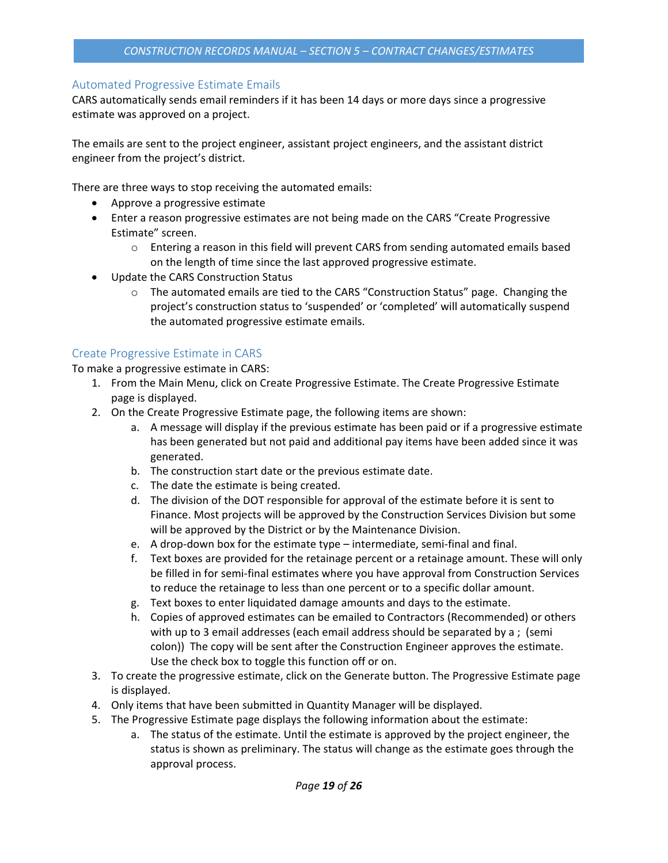# <span id="page-18-0"></span>Automated Progressive Estimate Emails

CARS automatically sends email reminders if it has been 14 days or more days since a progressive estimate was approved on a project.

The emails are sent to the project engineer, assistant project engineers, and the assistant district engineer from the project's district.

There are three ways to stop receiving the automated emails:

- Approve a progressive estimate
- Enter a reason progressive estimates are not being made on the CARS "Create Progressive Estimate" screen.
	- $\circ$  Entering a reason in this field will prevent CARS from sending automated emails based on the length of time since the last approved progressive estimate.
- Update the CARS Construction Status
	- o The automated emails are tied to the CARS "Construction Status" page. Changing the project's construction status to 'suspended' or 'completed' will automatically suspend the automated progressive estimate emails.

# <span id="page-18-1"></span>Create Progressive Estimate in CARS

To make a progressive estimate in CARS:

- 1. From the Main Menu, click on Create Progressive Estimate. The Create Progressive Estimate page is displayed.
- 2. On the Create Progressive Estimate page, the following items are shown:
	- a. A message will display if the previous estimate has been paid or if a progressive estimate has been generated but not paid and additional pay items have been added since it was generated.
	- b. The construction start date or the previous estimate date.
	- c. The date the estimate is being created.
	- d. The division of the DOT responsible for approval of the estimate before it is sent to Finance. Most projects will be approved by the Construction Services Division but some will be approved by the District or by the Maintenance Division.
	- e. A drop-down box for the estimate type intermediate, semi-final and final.
	- f. Text boxes are provided for the retainage percent or a retainage amount. These will only be filled in for semi-final estimates where you have approval from Construction Services to reduce the retainage to less than one percent or to a specific dollar amount.
	- g. Text boxes to enter liquidated damage amounts and days to the estimate.
	- h. Copies of approved estimates can be emailed to Contractors (Recommended) or others with up to 3 email addresses (each email address should be separated by a ; (semi colon)) The copy will be sent after the Construction Engineer approves the estimate. Use the check box to toggle this function off or on.
- 3. To create the progressive estimate, click on the Generate button. The Progressive Estimate page is displayed.
- 4. Only items that have been submitted in Quantity Manager will be displayed.
- 5. The Progressive Estimate page displays the following information about the estimate:
	- a. The status of the estimate. Until the estimate is approved by the project engineer, the status is shown as preliminary. The status will change as the estimate goes through the approval process.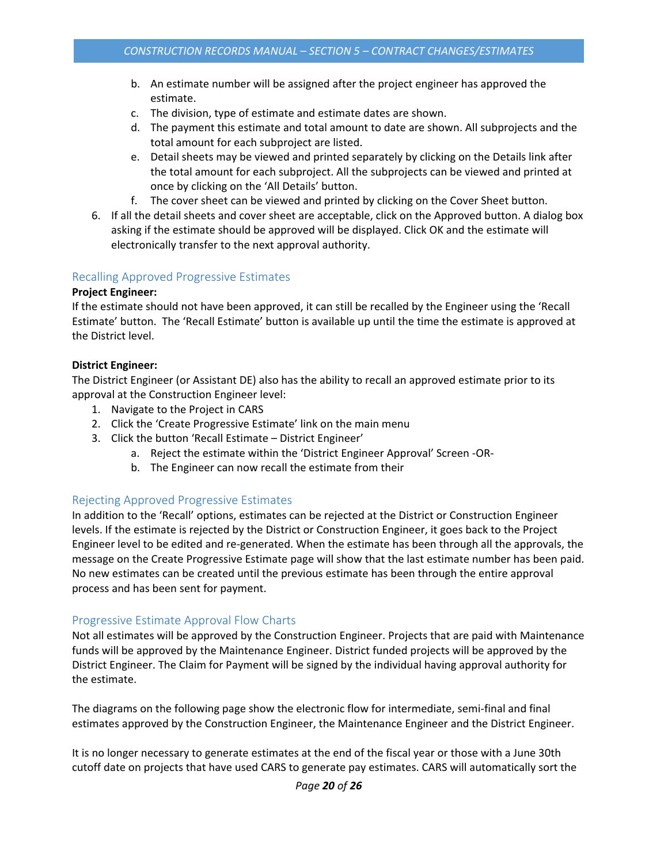- b. An estimate number will be assigned after the project engineer has approved the estimate.
- c. The division, type of estimate and estimate dates are shown.
- d. The payment this estimate and total amount to date are shown. All subprojects and the total amount for each subproject are listed.
- e. Detail sheets may be viewed and printed separately by clicking on the Details link after the total amount for each subproject. All the subprojects can be viewed and printed at once by clicking on the 'All Details' button.
- f. The cover sheet can be viewed and printed by clicking on the Cover Sheet button.
- 6. If all the detail sheets and cover sheet are acceptable, click on the Approved button. A dialog box asking if the estimate should be approved will be displayed. Click OK and the estimate will electronically transfer to the next approval authority.

### <span id="page-19-0"></span>Recalling Approved Progressive Estimates

#### **Project Engineer:**

If the estimate should not have been approved, it can still be recalled by the Engineer using the 'Recall Estimate' button. The 'Recall Estimate' button is available up until the time the estimate is approved at the District level.

#### **District Engineer:**

The District Engineer (or Assistant DE) also has the ability to recall an approved estimate prior to its approval at the Construction Engineer level:

- 1. Navigate to the Project in CARS
- 2. Click the 'Create Progressive Estimate' link on the main menu
- 3. Click the button 'Recall Estimate District Engineer'
	- a. Reject the estimate within the 'District Engineer Approval' Screen -OR-
	- b. The Engineer can now recall the estimate from their

# <span id="page-19-1"></span>Rejecting Approved Progressive Estimates

In addition to the 'Recall' options, estimates can be rejected at the District or Construction Engineer levels. If the estimate is rejected by the District or Construction Engineer, it goes back to the Project Engineer level to be edited and re-generated. When the estimate has been through all the approvals, the message on the Create Progressive Estimate page will show that the last estimate number has been paid. No new estimates can be created until the previous estimate has been through the entire approval process and has been sent for payment.

# <span id="page-19-2"></span>Progressive Estimate Approval Flow Charts

Not all estimates will be approved by the Construction Engineer. Projects that are paid with Maintenance funds will be approved by the Maintenance Engineer. District funded projects will be approved by the District Engineer. The Claim for Payment will be signed by the individual having approval authority for the estimate.

The diagrams on the following page show the electronic flow for intermediate, semi-final and final estimates approved by the Construction Engineer, the Maintenance Engineer and the District Engineer.

It is no longer necessary to generate estimates at the end of the fiscal year or those with a June 30th cutoff date on projects that have used CARS to generate pay estimates. CARS will automatically sort the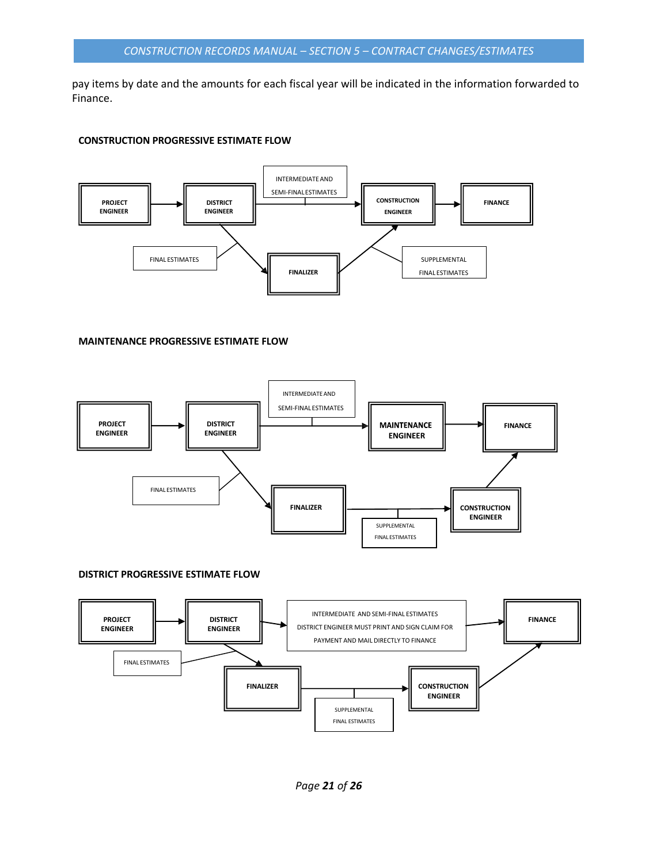pay items by date and the amounts for each fiscal year will be indicated in the information forwarded to Finance.

#### **CONSTRUCTION PROGRESSIVE ESTIMATE FLOW**



#### **MAINTENANCE PROGRESSIVE ESTIMATE FLOW**



#### **DISTRICT PROGRESSIVE ESTIMATE FLOW**

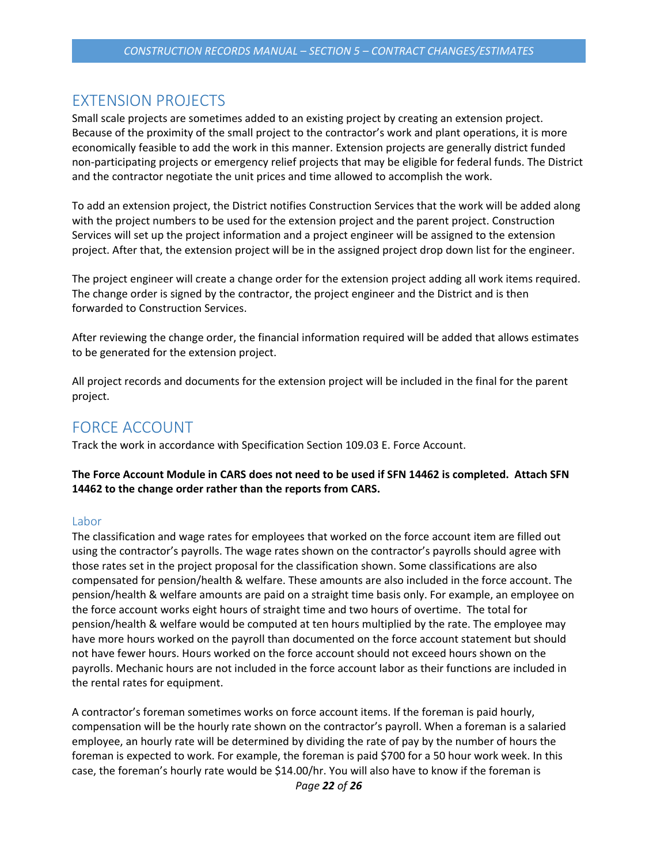# <span id="page-21-0"></span>EXTENSION PROJECTS

Small scale projects are sometimes added to an existing project by creating an extension project. Because of the proximity of the small project to the contractor's work and plant operations, it is more economically feasible to add the work in this manner. Extension projects are generally district funded non-participating projects or emergency relief projects that may be eligible for federal funds. The District and the contractor negotiate the unit prices and time allowed to accomplish the work.

To add an extension project, the District notifies Construction Services that the work will be added along with the project numbers to be used for the extension project and the parent project. Construction Services will set up the project information and a project engineer will be assigned to the extension project. After that, the extension project will be in the assigned project drop down list for the engineer.

The project engineer will create a change order for the extension project adding all work items required. The change order is signed by the contractor, the project engineer and the District and is then forwarded to Construction Services.

After reviewing the change order, the financial information required will be added that allows estimates to be generated for the extension project.

All project records and documents for the extension project will be included in the final for the parent project.

# <span id="page-21-1"></span>FORCE ACCOUNT

Track the work in accordance with Specification Section 109.03 E. Force Account.

### **The Force Account Module in CARS does not need to be used if SFN 14462 is completed. Attach SFN 14462 to the change order rather than the reports from CARS.**

#### <span id="page-21-2"></span>Labor

The classification and wage rates for employees that worked on the force account item are filled out using the contractor's payrolls. The wage rates shown on the contractor's payrolls should agree with those rates set in the project proposal for the classification shown. Some classifications are also compensated for pension/health & welfare. These amounts are also included in the force account. The pension/health & welfare amounts are paid on a straight time basis only. For example, an employee on the force account works eight hours of straight time and two hours of overtime. The total for pension/health & welfare would be computed at ten hours multiplied by the rate. The employee may have more hours worked on the payroll than documented on the force account statement but should not have fewer hours. Hours worked on the force account should not exceed hours shown on the payrolls. Mechanic hours are not included in the force account labor as their functions are included in the rental rates for equipment.

A contractor's foreman sometimes works on force account items. If the foreman is paid hourly, compensation will be the hourly rate shown on the contractor's payroll. When a foreman is a salaried employee, an hourly rate will be determined by dividing the rate of pay by the number of hours the foreman is expected to work. For example, the foreman is paid \$700 for a 50 hour work week. In this case, the foreman's hourly rate would be \$14.00/hr. You will also have to know if the foreman is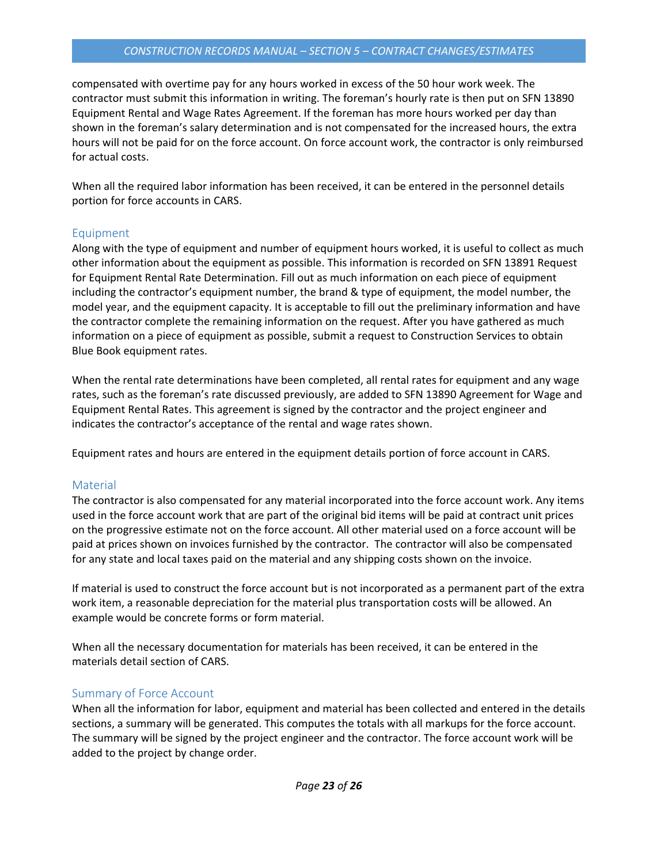#### *CONSTRUCTION RECORDS MANUAL – SECTION 5 – CONTRACT CHANGES/ESTIMATES*

compensated with overtime pay for any hours worked in excess of the 50 hour work week. The contractor must submit this information in writing. The foreman's hourly rate is then put on SFN 13890 Equipment Rental and Wage Rates Agreement. If the foreman has more hours worked per day than shown in the foreman's salary determination and is not compensated for the increased hours, the extra hours will not be paid for on the force account. On force account work, the contractor is only reimbursed for actual costs.

When all the required labor information has been received, it can be entered in the personnel details portion for force accounts in CARS.

# <span id="page-22-0"></span>Equipment

Along with the type of equipment and number of equipment hours worked, it is useful to collect as much other information about the equipment as possible. This information is recorded on SFN 13891 Request for Equipment Rental Rate Determination. Fill out as much information on each piece of equipment including the contractor's equipment number, the brand & type of equipment, the model number, the model year, and the equipment capacity. It is acceptable to fill out the preliminary information and have the contractor complete the remaining information on the request. After you have gathered as much information on a piece of equipment as possible, submit a request to Construction Services to obtain Blue Book equipment rates.

When the rental rate determinations have been completed, all rental rates for equipment and any wage rates, such as the foreman's rate discussed previously, are added to SFN 13890 Agreement for Wage and Equipment Rental Rates. This agreement is signed by the contractor and the project engineer and indicates the contractor's acceptance of the rental and wage rates shown.

Equipment rates and hours are entered in the equipment details portion of force account in CARS.

# <span id="page-22-1"></span>**Material**

The contractor is also compensated for any material incorporated into the force account work. Any items used in the force account work that are part of the original bid items will be paid at contract unit prices on the progressive estimate not on the force account. All other material used on a force account will be paid at prices shown on invoices furnished by the contractor. The contractor will also be compensated for any state and local taxes paid on the material and any shipping costs shown on the invoice.

If material is used to construct the force account but is not incorporated as a permanent part of the extra work item, a reasonable depreciation for the material plus transportation costs will be allowed. An example would be concrete forms or form material.

When all the necessary documentation for materials has been received, it can be entered in the materials detail section of CARS.

# <span id="page-22-2"></span>Summary of Force Account

When all the information for labor, equipment and material has been collected and entered in the details sections, a summary will be generated. This computes the totals with all markups for the force account. The summary will be signed by the project engineer and the contractor. The force account work will be added to the project by change order.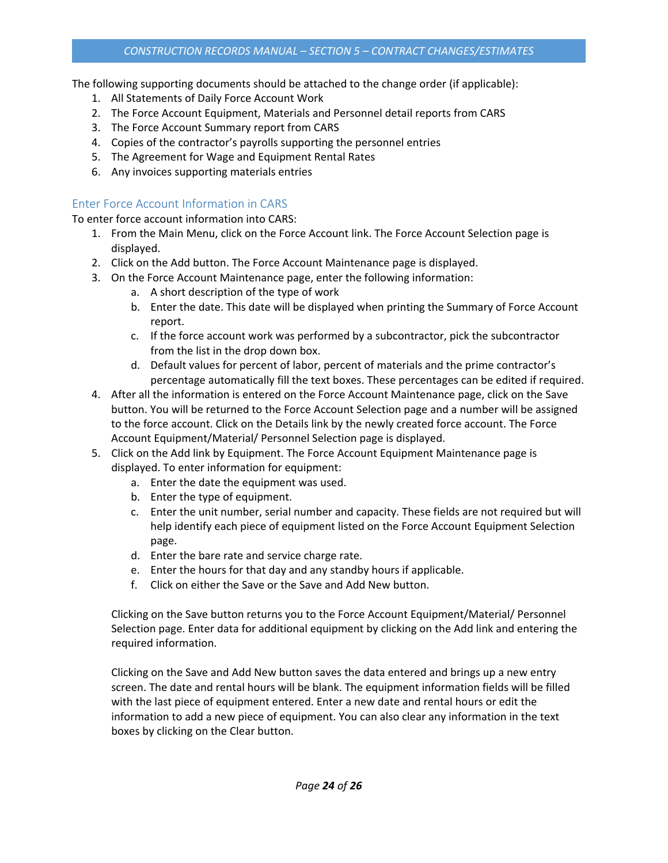The following supporting documents should be attached to the change order (if applicable):

- 1. All Statements of Daily Force Account Work
- 2. The Force Account Equipment, Materials and Personnel detail reports from CARS
- 3. The Force Account Summary report from CARS
- 4. Copies of the contractor's payrolls supporting the personnel entries
- 5. The Agreement for Wage and Equipment Rental Rates
- 6. Any invoices supporting materials entries

# <span id="page-23-0"></span>Enter Force Account Information in CARS

To enter force account information into CARS:

- 1. From the Main Menu, click on the Force Account link. The Force Account Selection page is displayed.
- 2. Click on the Add button. The Force Account Maintenance page is displayed.
- 3. On the Force Account Maintenance page, enter the following information:
	- a. A short description of the type of work
	- b. Enter the date. This date will be displayed when printing the Summary of Force Account report.
	- c. If the force account work was performed by a subcontractor, pick the subcontractor from the list in the drop down box.
	- d. Default values for percent of labor, percent of materials and the prime contractor's percentage automatically fill the text boxes. These percentages can be edited if required.
- 4. After all the information is entered on the Force Account Maintenance page, click on the Save button. You will be returned to the Force Account Selection page and a number will be assigned to the force account. Click on the Details link by the newly created force account. The Force Account Equipment/Material/ Personnel Selection page is displayed.
- 5. Click on the Add link by Equipment. The Force Account Equipment Maintenance page is displayed. To enter information for equipment:
	- a. Enter the date the equipment was used.
	- b. Enter the type of equipment.
	- c. Enter the unit number, serial number and capacity. These fields are not required but will help identify each piece of equipment listed on the Force Account Equipment Selection page.
	- d. Enter the bare rate and service charge rate.
	- e. Enter the hours for that day and any standby hours if applicable.
	- f. Click on either the Save or the Save and Add New button.

Clicking on the Save button returns you to the Force Account Equipment/Material/ Personnel Selection page. Enter data for additional equipment by clicking on the Add link and entering the required information.

Clicking on the Save and Add New button saves the data entered and brings up a new entry screen. The date and rental hours will be blank. The equipment information fields will be filled with the last piece of equipment entered. Enter a new date and rental hours or edit the information to add a new piece of equipment. You can also clear any information in the text boxes by clicking on the Clear button.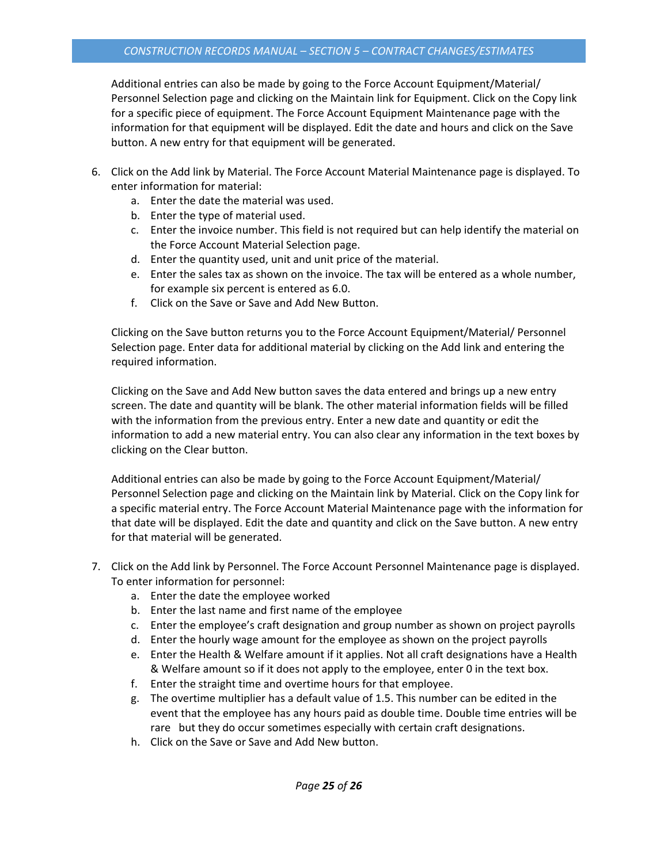Additional entries can also be made by going to the Force Account Equipment/Material/ Personnel Selection page and clicking on the Maintain link for Equipment. Click on the Copy link for a specific piece of equipment. The Force Account Equipment Maintenance page with the information for that equipment will be displayed. Edit the date and hours and click on the Save button. A new entry for that equipment will be generated.

- 6. Click on the Add link by Material. The Force Account Material Maintenance page is displayed. To enter information for material:
	- a. Enter the date the material was used.
	- b. Enter the type of material used.
	- c. Enter the invoice number. This field is not required but can help identify the material on the Force Account Material Selection page.
	- d. Enter the quantity used, unit and unit price of the material.
	- e. Enter the sales tax as shown on the invoice. The tax will be entered as a whole number, for example six percent is entered as 6.0.
	- f. Click on the Save or Save and Add New Button.

Clicking on the Save button returns you to the Force Account Equipment/Material/ Personnel Selection page. Enter data for additional material by clicking on the Add link and entering the required information.

Clicking on the Save and Add New button saves the data entered and brings up a new entry screen. The date and quantity will be blank. The other material information fields will be filled with the information from the previous entry. Enter a new date and quantity or edit the information to add a new material entry. You can also clear any information in the text boxes by clicking on the Clear button.

Additional entries can also be made by going to the Force Account Equipment/Material/ Personnel Selection page and clicking on the Maintain link by Material. Click on the Copy link for a specific material entry. The Force Account Material Maintenance page with the information for that date will be displayed. Edit the date and quantity and click on the Save button. A new entry for that material will be generated.

- 7. Click on the Add link by Personnel. The Force Account Personnel Maintenance page is displayed. To enter information for personnel:
	- a. Enter the date the employee worked
	- b. Enter the last name and first name of the employee
	- c. Enter the employee's craft designation and group number as shown on project payrolls
	- d. Enter the hourly wage amount for the employee as shown on the project payrolls
	- e. Enter the Health & Welfare amount if it applies. Not all craft designations have a Health & Welfare amount so if it does not apply to the employee, enter 0 in the text box.
	- f. Enter the straight time and overtime hours for that employee.
	- g. The overtime multiplier has a default value of 1.5. This number can be edited in the event that the employee has any hours paid as double time. Double time entries will be rare but they do occur sometimes especially with certain craft designations.
	- h. Click on the Save or Save and Add New button.